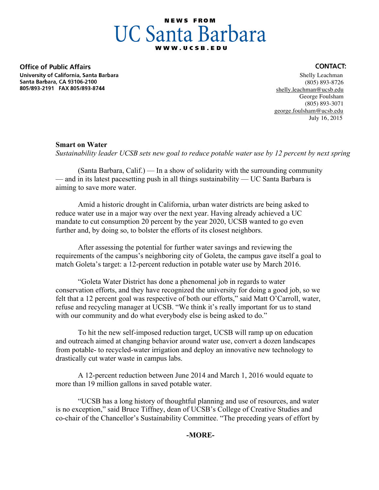# **NEWS FROM UC Santa Barbara**

**Office of Public Affairs** University of California, Santa Barbara Santa Barbara, CA 93106-2100 805/893-2191 FAX 805/893-8744

#### **CONTACT:**

 Shelly Leachman (805) 893-8726 shelly.leachman@ucsb.edu George Foulsham (805) 893-3071 george.foulsham@ucsb.edu July 16, 2015

## **Smart on Water**

*Sustainability leader UCSB sets new goal to reduce potable water use by 12 percent by next spring*

(Santa Barbara, Calif.) — In a show of solidarity with the surrounding community — and in its latest pacesetting push in all things sustainability — UC Santa Barbara is aiming to save more water.

Amid a historic drought in California, urban water districts are being asked to reduce water use in a major way over the next year. Having already achieved a UC mandate to cut consumption 20 percent by the year 2020, UCSB wanted to go even further and, by doing so, to bolster the efforts of its closest neighbors.

After assessing the potential for further water savings and reviewing the requirements of the campus's neighboring city of Goleta, the campus gave itself a goal to match Goleta's target: a 12-percent reduction in potable water use by March 2016.

"Goleta Water District has done a phenomenal job in regards to water conservation efforts, and they have recognized the university for doing a good job, so we felt that a 12 percent goal was respective of both our efforts," said Matt O'Carroll, water, refuse and recycling manager at UCSB. "We think it's really important for us to stand with our community and do what everybody else is being asked to do."

To hit the new self-imposed reduction target, UCSB will ramp up on education and outreach aimed at changing behavior around water use, convert a dozen landscapes from potable- to recycled-water irrigation and deploy an innovative new technology to drastically cut water waste in campus labs.

A 12-percent reduction between June 2014 and March 1, 2016 would equate to more than 19 million gallons in saved potable water.

"UCSB has a long history of thoughtful planning and use of resources, and water is no exception," said Bruce Tiffney, dean of UCSB's College of Creative Studies and co-chair of the Chancellor's Sustainability Committee. "The preceding years of effort by

**-MORE-**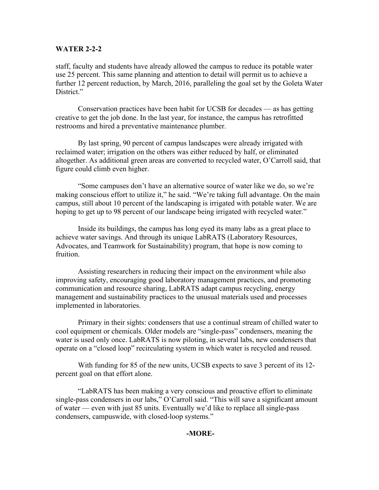### **WATER 2-2-2**

staff, faculty and students have already allowed the campus to reduce its potable water use 25 percent. This same planning and attention to detail will permit us to achieve a further 12 percent reduction, by March, 2016, paralleling the goal set by the Goleta Water District."

Conservation practices have been habit for UCSB for decades — as has getting creative to get the job done. In the last year, for instance, the campus has retrofitted restrooms and hired a preventative maintenance plumber.

By last spring, 90 percent of campus landscapes were already irrigated with reclaimed water; irrigation on the others was either reduced by half, or eliminated altogether. As additional green areas are converted to recycled water, O'Carroll said, that figure could climb even higher.

"Some campuses don't have an alternative source of water like we do, so we're making conscious effort to utilize it," he said. "We're taking full advantage. On the main campus, still about 10 percent of the landscaping is irrigated with potable water. We are hoping to get up to 98 percent of our landscape being irrigated with recycled water."

Inside its buildings, the campus has long eyed its many labs as a great place to achieve water savings. And through its unique LabRATS (Laboratory Resources, Advocates, and Teamwork for Sustainability) program, that hope is now coming to fruition.

Assisting researchers in reducing their impact on the environment while also improving safety, encouraging good laboratory management practices, and promoting communication and resource sharing, LabRATS adapt campus recycling, energy management and sustainability practices to the unusual materials used and processes implemented in laboratories.

Primary in their sights: condensers that use a continual stream of chilled water to cool equipment or chemicals. Older models are "single-pass" condensers, meaning the water is used only once. LabRATS is now piloting, in several labs, new condensers that operate on a "closed loop" recirculating system in which water is recycled and reused.

With funding for 85 of the new units, UCSB expects to save 3 percent of its 12 percent goal on that effort alone.

"LabRATS has been making a very conscious and proactive effort to eliminate single-pass condensers in our labs," O'Carroll said. "This will save a significant amount of water — even with just 85 units. Eventually we'd like to replace all single-pass condensers, campuswide, with closed-loop systems."

### **-MORE-**